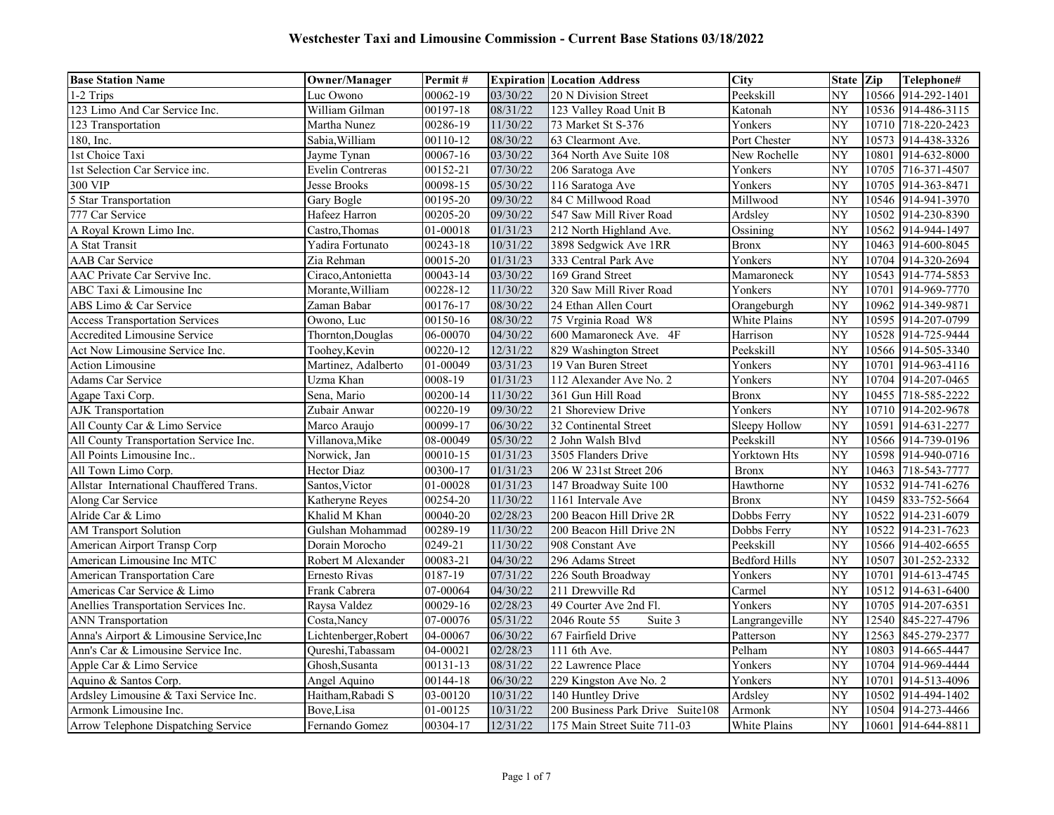| <b>Base Station Name</b>                | <b>Owner/Manager</b>    | Permit#  |          | <b>Expiration Location Address</b> | <b>City</b>          | State Zip |       | Telephone#         |
|-----------------------------------------|-------------------------|----------|----------|------------------------------------|----------------------|-----------|-------|--------------------|
| 1-2 Trips                               | Luc Owono               | 00062-19 | 03/30/22 | 20 N Division Street               | Peekskill            | NY        |       | 10566 914-292-1401 |
| 123 Limo And Car Service Inc.           | William Gilman          | 00197-18 | 08/31/22 | 123 Valley Road Unit B             | Katonah              | NY        |       | 10536 914-486-3115 |
| 123 Transportation                      | Martha Nunez            | 00286-19 | 11/30/22 | 73 Market St S-376                 | Yonkers              | NY        |       | 10710 718-220-2423 |
| 180, Inc.                               | Sabia, William          | 00110-12 | 08/30/22 | 63 Clearmont Ave.                  | Port Chester         | NY        | 10573 | 914-438-3326       |
| 1st Choice Taxi                         | Jayme Tynan             | 00067-16 | 03/30/22 | 364 North Ave Suite 108            | New Rochelle         | NY        | 10801 | 914-632-8000       |
| 1st Selection Car Service inc.          | <b>Evelin Contreras</b> | 00152-21 | 07/30/22 | 206 Saratoga Ave                   | Yonkers              | NY        | 10705 | 716-371-4507       |
| 300 VIP                                 | Jesse Brooks            | 00098-15 | 05/30/22 | 116 Saratoga Ave                   | Yonkers              | NY        | 10705 | 914-363-8471       |
| 5 Star Transportation                   | Gary Bogle              | 00195-20 | 09/30/22 | 84 C Millwood Road                 | Millwood             | NY        |       | 10546 914-941-3970 |
| 777 Car Service                         | Hafeez Harron           | 00205-20 | 09/30/22 | 547 Saw Mill River Road            | Ardsley              | NY        |       | 10502 914-230-8390 |
| A Royal Krown Limo Inc.                 | Castro, Thomas          | 01-00018 | 01/31/23 | 212 North Highland Ave.            | Ossining             | NY        |       | 10562 914-944-1497 |
| A Stat Transit                          | Yadira Fortunato        | 00243-18 | 10/31/22 | 3898 Sedgwick Ave 1RR              | <b>Bronx</b>         | NY        | 10463 | 914-600-8045       |
| <b>AAB</b> Car Service                  | Zia Rehman              | 00015-20 | 01/31/23 | 333 Central Park Ave               | Yonkers              | NY        | 10704 | 914-320-2694       |
| AAC Private Car Servive Inc.            | Ciraco, Antonietta      | 00043-14 | 03/30/22 | 169 Grand Street                   | Mamaroneck           | NY        |       | 10543 914-774-5853 |
| ABC Taxi & Limousine Inc                | Morante, William        | 00228-12 | 11/30/22 | 320 Saw Mill River Road            | Yonkers              | NY        | 10701 | 914-969-7770       |
| ABS Limo & Car Service                  | Zaman Babar             | 00176-17 | 08/30/22 | 24 Ethan Allen Court               | Orangeburgh          | NY        |       | 10962 914-349-9871 |
| <b>Access Transportation Services</b>   | Owono, Luc              | 00150-16 | 08/30/22 | 75 Vrginia Road W8                 | White Plains         | NY        |       | 10595 914-207-0799 |
| <b>Accredited Limousine Service</b>     | Thornton, Douglas       | 06-00070 | 04/30/22 | 600 Mamaroneck Ave. 4F             | Harrison             | NY        |       | 10528 914-725-9444 |
| Act Now Limousine Service Inc.          | Toohey, Kevin           | 00220-12 | 12/31/22 | 829 Washington Street              | Peekskill            | NY        |       | 10566 914-505-3340 |
| <b>Action Limousine</b>                 | Martinez, Adalberto     | 01-00049 | 03/31/23 | 19 Van Buren Street                | Yonkers              | NY        |       | 10701 914-963-4116 |
| Adams Car Service                       | Uzma Khan               | 0008-19  | 01/31/23 | 112 Alexander Ave No. 2            | Yonkers              | NY        |       | 10704 914-207-0465 |
| Agape Taxi Corp.                        | Sena, Mario             | 00200-14 | 11/30/22 | 361 Gun Hill Road                  | <b>Bronx</b>         | NY        |       | 10455 718-585-2222 |
| <b>AJK</b> Transportation               | Zubair Anwar            | 00220-19 | 09/30/22 | 21 Shoreview Drive                 | Yonkers              | NY        |       | 10710 914-202-9678 |
| All County Car & Limo Service           | Marco Araujo            | 00099-17 | 06/30/22 | 32 Continental Street              | Sleepy Hollow        | NY        |       | 10591 914-631-2277 |
| All County Transportation Service Inc.  | Villanova, Mike         | 08-00049 | 05/30/22 | 2 John Walsh Blvd                  | Peekskill            | NY        |       | 10566 914-739-0196 |
| All Points Limousine Inc                | Norwick, Jan            | 00010-15 | 01/31/23 | 3505 Flanders Drive                | Yorktown Hts         | NY        |       | 10598 914-940-0716 |
| All Town Limo Corp.                     | Hector Diaz             | 00300-17 | 01/31/23 | 206 W 231st Street 206             | <b>Bronx</b>         | NY        | 10463 | 718-543-7777       |
| Allstar International Chauffered Trans. | Santos, Victor          | 01-00028 | 01/31/23 | 147 Broadway Suite 100             | Hawthorne            | NY        |       | 10532 914-741-6276 |
| Along Car Service                       | Katheryne Reyes         | 00254-20 | 11/30/22 | 1161 Intervale Ave                 | <b>Bronx</b>         | NY        | 10459 | 833-752-5664       |
| Alride Car & Limo                       | Khalid M Khan           | 00040-20 | 02/28/23 | 200 Beacon Hill Drive 2R           | Dobbs Ferry          | NY        | 10522 | 914-231-6079       |
| <b>AM Transport Solution</b>            | Gulshan Mohammad        | 00289-19 | 11/30/22 | 200 Beacon Hill Drive 2N           | Dobbs Ferry          | NY        | 10522 | 914-231-7623       |
| American Airport Transp Corp            | Dorain Morocho          | 0249-21  | 11/30/22 | 908 Constant Ave                   | Peekskill            | NY        | 10566 | 914-402-6655       |
| American Limousine Inc MTC              | Robert M Alexander      | 00083-21 | 04/30/22 | 296 Adams Street                   | <b>Bedford Hills</b> | NY        | 10507 | 301-252-2332       |
| American Transportation Care            | Ernesto Rivas           | 0187-19  | 07/31/22 | 226 South Broadway                 | Yonkers              | NY        | 10701 | 914-613-4745       |
| Americas Car Service & Limo             | Frank Cabrera           | 07-00064 | 04/30/22 | 211 Drewville Rd                   | Carmel               | NY        | 10512 | 914-631-6400       |
| Anellies Transportation Services Inc.   | Raysa Valdez            | 00029-16 | 02/28/23 | 49 Courter Ave 2nd Fl.             | Yonkers              | NY        | 10705 | 914-207-6351       |
| <b>ANN</b> Transportation               | Costa, Nancy            | 07-00076 | 05/31/22 | 2046 Route 55<br>Suite 3           | Langrangeville       | NY        |       | 12540 845-227-4796 |
| Anna's Airport & Limousine Service, Inc | Lichtenberger, Robert   | 04-00067 | 06/30/22 | 67 Fairfield Drive                 | Patterson            | NY        | 12563 | 845-279-2377       |
| Ann's Car & Limousine Service Inc.      | Oureshi,Tabassam        | 04-00021 | 02/28/23 | 111 6th Ave.                       | Pelham               | NY        | 10803 | 914-665-4447       |
| Apple Car & Limo Service                | Ghosh, Susanta          | 00131-13 | 08/31/22 | 22 Lawrence Place                  | Yonkers              | NY        |       | 10704 914-969-4444 |
| Aquino & Santos Corp.                   | Angel Aquino            | 00144-18 | 06/30/22 | 229 Kingston Ave No. 2             | Yonkers              | NY        | 10701 | 914-513-4096       |
| Ardsley Limousine & Taxi Service Inc.   | Haitham, Rabadi S       | 03-00120 | 10/31/22 | 140 Huntley Drive                  | Ardsley              | NY        | 10502 | 914-494-1402       |
| Armonk Limousine Inc.                   | Bove, Lisa              | 01-00125 | 10/31/22 | 200 Business Park Drive Suite108   | Armonk               | NY        |       | 10504 914-273-4466 |
| Arrow Telephone Dispatching Service     | Fernando Gomez          | 00304-17 | 12/31/22 | 175 Main Street Suite 711-03       | White Plains         | NY        |       | 10601 914-644-8811 |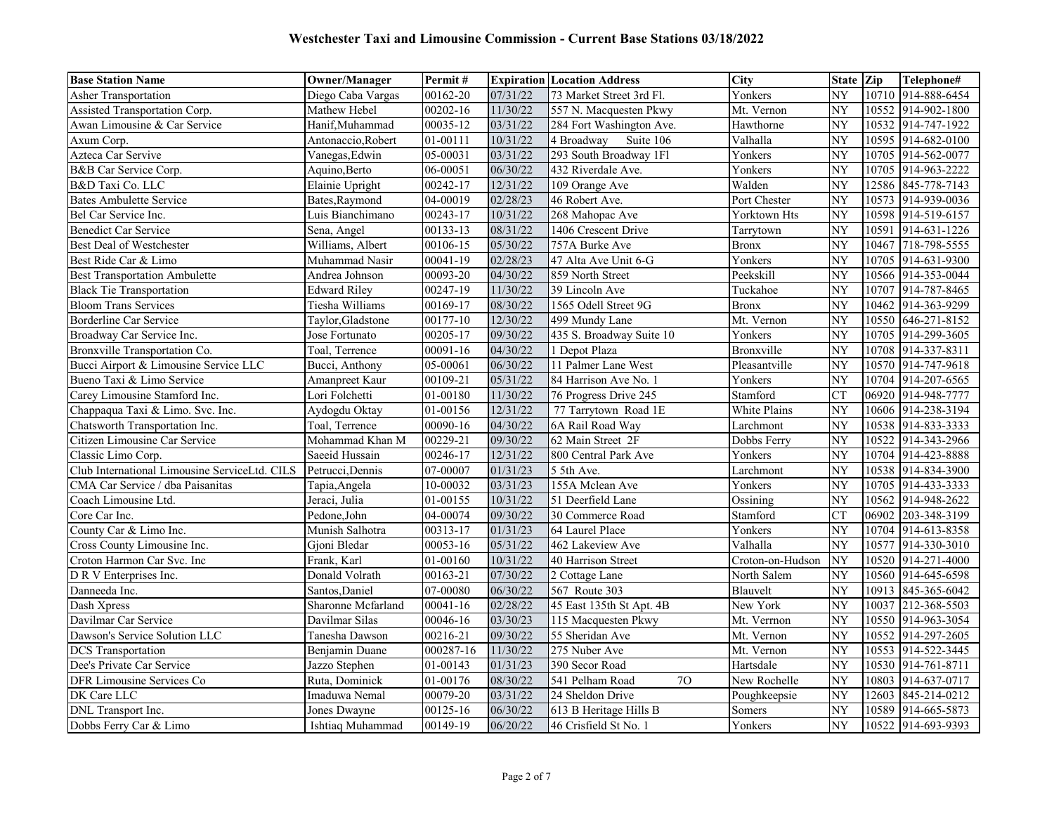| <b>Base Station Name</b>                      | <b>Owner/Manager</b> | Permit#   |          | <b>Expiration Location Address</b> | City             | State Zip       |       | Telephone#         |
|-----------------------------------------------|----------------------|-----------|----------|------------------------------------|------------------|-----------------|-------|--------------------|
| <b>Asher Transportation</b>                   | Diego Caba Vargas    | 00162-20  | 07/31/22 | 73 Market Street 3rd Fl.           | Yonkers          | NY              |       | 10710 914-888-6454 |
| Assisted Transportation Corp.                 | Mathew Hebel         | 00202-16  | 11/30/22 | 557 N. Macquesten Pkwy             | Mt. Vernon       | NY              |       | 10552 914-902-1800 |
| Awan Limousine & Car Service                  | Hanif.Muhammad       | 00035-12  | 03/31/22 | 284 Fort Washington Ave.           | Hawthorne        | NY              |       | 10532 914-747-1922 |
| Axum Corp.                                    | Antonaccio.Robert    | 01-00111  | 10/31/22 | Suite 106<br>4 Broadway            | Valhalla         | NY              | 10595 | 914-682-0100       |
| Azteca Car Servive                            | Vanegas, Edwin       | 05-00031  | 03/31/22 | 293 South Broadway 1Fl             | Yonkers          | $\overline{NY}$ | 10705 | 914-562-0077       |
| B&B Car Service Corp.                         | Aquino, Berto        | 06-00051  | 06/30/22 | 432 Riverdale Ave.                 | Yonkers          | NY              | 10705 | 914-963-2222       |
| B&D Taxi Co. LLC                              | Elainie Upright      | 00242-17  | 12/31/22 | 109 Orange Ave                     | Walden           | NY              | 12586 | 845-778-7143       |
| <b>Bates Ambulette Service</b>                | Bates, Raymond       | 04-00019  | 02/28/23 | 46 Robert Ave.                     | Port Chester     | NY              |       | 10573 914-939-0036 |
| Bel Car Service Inc.                          | Luis Bianchimano     | 00243-17  | 10/31/22 | 268 Mahopac Ave                    | Yorktown Hts     | NY              |       | 10598 914-519-6157 |
| <b>Benedict Car Service</b>                   | Sena, Angel          | 00133-13  | 08/31/22 | 1406 Crescent Drive                | Tarrytown        | $\overline{NY}$ | 10591 | 914-631-1226       |
| Best Deal of Westchester                      | Williams, Albert     | 00106-15  | 05/30/22 | 757A Burke Ave                     | <b>Bronx</b>     | $\overline{NY}$ | 10467 | 718-798-5555       |
| Best Ride Car & Limo                          | Muhammad Nasir       | 00041-19  | 02/28/23 | 47 Alta Ave Unit 6-G               | Yonkers          | NY              | 10705 | 914-631-9300       |
| <b>Best Transportation Ambulette</b>          | Andrea Johnson       | 00093-20  | 04/30/22 | 859 North Street                   | Peekskill        | NY              |       | 10566 914-353-0044 |
| <b>Black Tie Transportation</b>               | Edward Riley         | 00247-19  | 11/30/22 | 39 Lincoln Ave                     | Tuckahoe         | NY              |       | 10707 914-787-8465 |
| <b>Bloom Trans Services</b>                   | Tiesha Williams      | 00169-17  | 08/30/22 | 1565 Odell Street 9G               | <b>Bronx</b>     | NY              |       | 10462 914-363-9299 |
| Borderline Car Service                        | Taylor, Gladstone    | 00177-10  | 12/30/22 | 499 Mundy Lane                     | Mt. Vernon       | NY              |       | 10550 646-271-8152 |
| Broadway Car Service Inc.                     | Jose Fortunato       | 00205-17  | 09/30/22 | 435 S. Broadway Suite 10           | Yonkers          | NY              | 10705 | 914-299-3605       |
| Bronxville Transportation Co.                 | Toal, Terrence       | 00091-16  | 04/30/22 | 1 Depot Plaza                      | Bronxville       | NY              |       | 10708 914-337-8311 |
| Bucci Airport & Limousine Service LLC         | Bucci, Anthony       | 05-00061  | 06/30/22 | 11 Palmer Lane West                | Pleasantville    | NY              |       | 10570 914-747-9618 |
| Bueno Taxi & Limo Service                     | Amanpreet Kaur       | 00109-21  | 05/31/22 | 84 Harrison Ave No. 1              | Yonkers          | NY              |       | 10704 914-207-6565 |
| Carey Limousine Stamford Inc.                 | Lori Folchetti       | 01-00180  | 11/30/22 | 76 Progress Drive 245              | Stamford         | <b>CT</b>       |       | 06920 914-948-7777 |
| Chappaqua Taxi & Limo. Svc. Inc.              | Aydogdu Oktay        | 01-00156  | 12/31/22 | 77 Tarrytown Road 1E               | White Plains     | NY              |       | 10606 914-238-3194 |
| Chatsworth Transportation Inc.                | Toal, Terrence       | 00090-16  | 04/30/22 | 6A Rail Road Way                   | Larchmont        | NY              |       | 10538 914-833-3333 |
| Citizen Limousine Car Service                 | Mohammad Khan M      | 00229-21  | 09/30/22 | 62 Main Street 2F                  | Dobbs Ferry      | NY              | 10522 | 914-343-2966       |
| Classic Limo Corp.                            | Saeeid Hussain       | 00246-17  | 12/31/22 | 800 Central Park Ave               | Yonkers          | NY              | 10704 | 914-423-8888       |
| Club International Limousine ServiceLtd. CILS | Petrucci, Dennis     | 07-00007  | 01/31/23 | 5 5th Ave.                         | Larchmont        | NY              |       | 10538 914-834-3900 |
| CMA Car Service / dba Paisanitas              | Tapia, Angela        | 10-00032  | 03/31/23 | 155A Mclean Ave                    | Yonkers          | NY              | 10705 | 914-433-3333       |
| Coach Limousine Ltd.                          | Jeraci, Julia        | 01-00155  | 10/31/22 | 51 Deerfield Lane                  | Ossining         | NY              |       | 10562 914-948-2622 |
| Core Car Inc.                                 | Pedone, John         | 04-00074  | 09/30/22 | 30 Commerce Road                   | Stamford         | CT              |       | 06902 203-348-3199 |
| County Car & Limo Inc.                        | Munish Salhotra      | 00313-17  | 01/31/23 | 64 Laurel Place                    | Yonkers          | $\overline{NY}$ |       | 10704 914-613-8358 |
| Cross County Limousine Inc.                   | Gjoni Bledar         | 00053-16  | 05/31/22 | 462 Lakeview Ave                   | Valhalla         | NY              | 10577 | 914-330-3010       |
| Croton Harmon Car Svc. Inc                    | Frank, Karl          | 01-00160  | 10/31/22 | 40 Harrison Street                 | Croton-on-Hudson | NY              |       | 10520 914-271-4000 |
| DR V Enterprises Inc.                         | Donald Volrath       | 00163-21  | 07/30/22 | 2 Cottage Lane                     | North Salem      | NY              |       | 10560 914-645-6598 |
| Danneeda Inc.                                 | Santos.Daniel        | 07-00080  | 06/30/22 | 567 Route 303                      | Blauvelt         | NY              |       | 10913 845-365-6042 |
| Dash Xpress                                   | Sharonne Mcfarland   | 00041-16  | 02/28/22 | 45 East 135th St Apt. 4B           | New York         | NY              |       | 10037 212-368-5503 |
| Davilmar Car Service                          | Davilmar Silas       | 00046-16  | 03/30/23 | 115 Macquesten Pkwy                | Mt. Verrnon      | NY              |       | 10550 914-963-3054 |
| Dawson's Service Solution LLC                 | Tanesha Dawson       | 00216-21  | 09/30/22 | 55 Sheridan Ave                    | Mt. Vernon       | NY              |       | 10552 914-297-2605 |
| <b>DCS</b> Transportation                     | Benjamin Duane       | 000287-16 | 11/30/22 | 275 Nuber Ave                      | Mt. Vernon       | NY              | 10553 | 914-522-3445       |
| Dee's Private Car Service                     | Jazzo Stephen        | 01-00143  | 01/31/23 | 390 Secor Road                     | Hartsdale        | NY              |       | 10530 914-761-8711 |
| DFR Limousine Services Co                     | Ruta, Dominick       | 01-00176  | 08/30/22 | 541 Pelham Road<br>70              | New Rochelle     | NY              | 10803 | 914-637-0717       |
| DK Care LLC                                   | Imaduwa Nemal        | 00079-20  | 03/31/22 | 24 Sheldon Drive                   | Poughkeepsie     | NY              | 12603 | 845-214-0212       |
| DNL Transport Inc.                            | Jones Dwayne         | 00125-16  | 06/30/22 | 613 B Heritage Hills B             | Somers           | NY              | 10589 | 914-665-5873       |
| Dobbs Ferry Car & Limo                        | Ishtiaq Muhammad     | 00149-19  | 06/20/22 | 46 Crisfield St No. 1              | Yonkers          | NY              |       | 10522 914-693-9393 |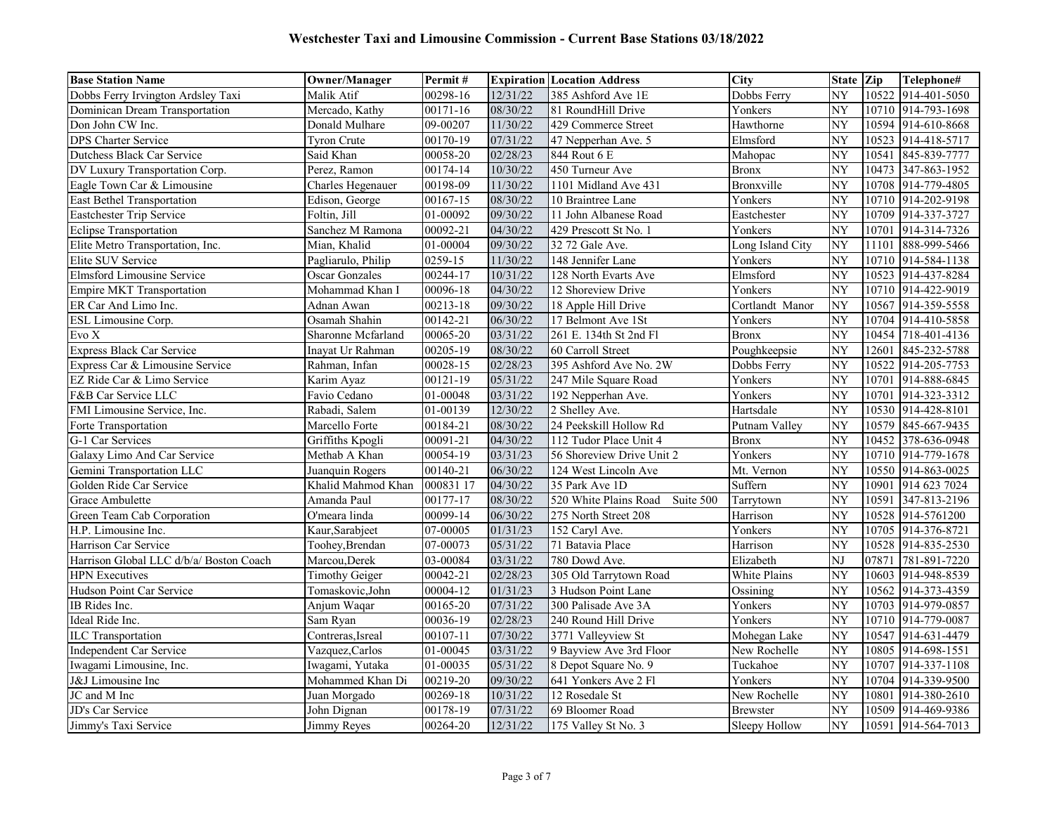| <b>Base Station Name</b>                | <b>Owner/Manager</b>  | Permit#                |          | <b>Expiration Location Address</b> | <b>City</b>      | State Zip       |       | Telephone#         |
|-----------------------------------------|-----------------------|------------------------|----------|------------------------------------|------------------|-----------------|-------|--------------------|
| Dobbs Ferry Irvington Ardsley Taxi      | Malik Atif            | 00298-16               | 12/31/22 | 385 Ashford Ave 1E                 | Dobbs Ferry      | NY              |       | 10522 914-401-5050 |
| Dominican Dream Transportation          | Mercado, Kathy        | 00171-16               | 08/30/22 | 81 RoundHill Drive                 | Yonkers          | NY              |       | 10710 914-793-1698 |
| Don John CW Inc.                        | Donald Mulhare        | 09-00207               | 11/30/22 | 429 Commerce Street                | Hawthorne        | NY              |       | 10594 914-610-8668 |
| DPS Charter Service                     | <b>Tyron Crute</b>    | 00170-19               | 07/31/22 | 47 Nepperhan Ave. 5                | Elmsford         | NY              | 10523 | 914-418-5717       |
| Dutchess Black Car Service              | Said Khan             | 00058-20               | 02/28/23 | 844 Rout 6 E                       | Mahopac          | NY              | 10541 | 845-839-7777       |
| DV Luxury Transportation Corp.          | Perez, Ramon          | 00174-14               | 10/30/22 | 450 Turneur Ave                    | <b>Bronx</b>     | NY              | 10473 | 347-863-1952       |
| Eagle Town Car & Limousine              | Charles Hegenauer     | 00198-09               | 11/30/22 | 1101 Midland Ave 431               | Bronxville       | $\overline{NY}$ |       | 10708 914-779-4805 |
| <b>East Bethel Transportation</b>       | Edison, George        | 00167-15               | 08/30/22 | 10 Braintree Lane                  | Yonkers          | $\overline{NY}$ |       | 10710 914-202-9198 |
| Eastchester Trip Service                | Foltin, Jill          | $\overline{01}$ -00092 | 09/30/22 | 11 John Albanese Road              | Eastchester      | NY              |       | 10709 914-337-3727 |
| <b>Eclipse Transportation</b>           | Sanchez M Ramona      | 00092-21               | 04/30/22 | 429 Prescott St No. 1              | Yonkers          | NY              |       | 10701 914-314-7326 |
| Elite Metro Transportation, Inc.        | Mian, Khalid          | 01-00004               | 09/30/22 | 32 72 Gale Ave.                    | Long Island City | NY              | 11101 | 888-999-5466       |
| Elite SUV Service                       | Pagliarulo, Philip    | 0259-15                | 11/30/22 | 148 Jennifer Lane                  | Yonkers          | NY              |       | 10710 914-584-1138 |
| Elmsford Limousine Service              | <b>Oscar Gonzales</b> | 00244-17               | 10/31/22 | 128 North Evarts Ave               | Elmsford         | NY              |       | 10523 914-437-8284 |
| <b>Empire MKT Transportation</b>        | Mohammad Khan I       | 00096-18               | 04/30/22 | 12 Shoreview Drive                 | Yonkers          | NY              |       | 10710 914-422-9019 |
| ER Car And Limo Inc.                    | Adnan Awan            | 00213-18               | 09/30/22 | 18 Apple Hill Drive                | Cortlandt Manor  | NY              |       | 10567 914-359-5558 |
| ESL Limousine Corp.                     | Osamah Shahin         | 00142-21               | 06/30/22 | 17 Belmont Ave 1St                 | Yonkers          | NY              |       | 10704 914-410-5858 |
| $\operatorname{Evo}$ X                  | Sharonne Mcfarland    | 00065-20               | 03/31/22 | 261 E. 134th St 2nd Fl             | <b>Bronx</b>     | NY              | 10454 | 718-401-4136       |
| <b>Express Black Car Service</b>        | Inayat Ur Rahman      | 00205-19               | 08/30/22 | 60 Carroll Street                  | Poughkeepsie     | $\overline{NY}$ | 12601 | 845-232-5788       |
| Express Car & Limousine Service         | Rahman, Infan         | 00028-15               | 02/28/23 | 395 Ashford Ave No. 2W             | Dobbs Ferry      | NY              | 10522 | 914-205-7753       |
| EZ Ride Car & Limo Service              | Karim Ayaz            | 00121-19               | 05/31/22 | 247 Mile Square Road               | Yonkers          | $\overline{NY}$ |       | 10701 914-888-6845 |
| F&B Car Service LLC                     | Favio Cedano          | 01-00048               | 03/31/22 | 192 Nepperhan Ave.                 | Yonkers          | $\overline{NY}$ | 10701 | 914-323-3312       |
| FMI Limousine Service, Inc.             | Rabadi, Salem         | 01-00139               | 12/30/22 | 2 Shelley Ave.                     | Hartsdale        | NY              |       | 10530 914-428-8101 |
| Forte Transportation                    | Marcello Forte        | 00184-21               | 08/30/22 | 24 Peekskill Hollow Rd             | Putnam Valley    | NY              | 10579 | 845-667-9435       |
| G-1 Car Services                        | Griffiths Kpogli      | 00091-21               | 04/30/22 | 112 Tudor Place Unit 4             | <b>Bronx</b>     | NY              | 10452 | 378-636-0948       |
| Galaxy Limo And Car Service             | Methab A Khan         | 00054-19               | 03/31/23 | 56 Shoreview Drive Unit 2          | Yonkers          | NY              |       | 10710 914-779-1678 |
| Gemini Transportation LLC               | Juanquin Rogers       | 00140-21               | 06/30/22 | 124 West Lincoln Ave               | Mt. Vernon       | NY              |       | 10550 914-863-0025 |
| Golden Ride Car Service                 | Khalid Mahmod Khan    | 000831 17              | 04/30/22 | 35 Park Ave 1D                     | Suffern          | NY              |       | 10901 914 623 7024 |
| Grace Ambulette                         | Amanda Paul           | 00177-17               | 08/30/22 | 520 White Plains Road<br>Suite 500 | Tarrytown        | NY              | 10591 | 347-813-2196       |
| Green Team Cab Corporation              | O'meara linda         | 00099-14               | 06/30/22 | 275 North Street 208               | Harrison         | NY              |       | 10528 914-5761200  |
| H.P. Limousine Inc.                     | Kaur, Sarabjeet       | 07-00005               | 01/31/23 | 152 Caryl Ave.                     | Yonkers          | NY              |       | 10705 914-376-8721 |
| Harrison Car Service                    | Toohey, Brendan       | 07-00073               | 05/31/22 | 71 Batavia Place                   | Harrison         | NY              |       | 10528 914-835-2530 |
| Harrison Global LLC d/b/a/ Boston Coach | Marcou, Derek         | 03-00084               | 03/31/22 | 780 Dowd Ave.                      | Elizabeth        | NJ              | 07871 | 781-891-7220       |
| <b>HPN</b> Executives                   | <b>Timothy Geiger</b> | 00042-21               | 02/28/23 | 305 Old Tarrytown Road             | White Plains     | $\overline{NY}$ | 10603 | 914-948-8539       |
| Hudson Point Car Service                | Tomaskovic, John      | 00004-12               | 01/31/23 | 3 Hudson Point Lane                | Ossining         | NY              |       | 10562 914-373-4359 |
| IB Rides Inc.                           | Anjum Waqar           | 00165-20               | 07/31/22 | 300 Palisade Ave 3A                | Yonkers          | NY              | 10703 | 914-979-0857       |
| Ideal Ride Inc.                         | Sam Ryan              | 00036-19               | 02/28/23 | 240 Round Hill Drive               | Yonkers          | NY              |       | 10710 914-779-0087 |
| <b>ILC</b> Transportation               | Contreras, Isreal     | 00107-11               | 07/30/22 | 3771 Valleyview St                 | Mohegan Lake     | NY              |       | 10547 914-631-4479 |
| Independent Car Service                 | Vazquez, Carlos       | 01-00045               | 03/31/22 | 9 Bayview Ave 3rd Floor            | New Rochelle     | NY              | 10805 | 914-698-1551       |
| Iwagami Limousine, Inc.                 | Iwagami, Yutaka       | 01-00035               | 05/31/22 | 8 Depot Square No. 9               | Tuckahoe         | NY              |       | 10707 914-337-1108 |
| J&J Limousine Inc                       | Mohammed Khan Di      | 00219-20               | 09/30/22 | 641 Yonkers Ave 2 Fl               | Yonkers          | NY              |       | 10704 914-339-9500 |
| JC and M Inc                            | Juan Morgado          | 00269-18               | 10/31/22 | 12 Rosedale St                     | New Rochelle     | NY              | 10801 | 914-380-2610       |
| JD's Car Service                        | John Dignan           | 00178-19               | 07/31/22 | 69 Bloomer Road                    | <b>Brewster</b>  | NY              |       | 10509 914-469-9386 |
| Jimmy's Taxi Service                    | Jimmy Reyes           | 00264-20               | 12/31/22 | 175 Valley St No. 3                | Sleepy Hollow    | NY              |       | 10591 914-564-7013 |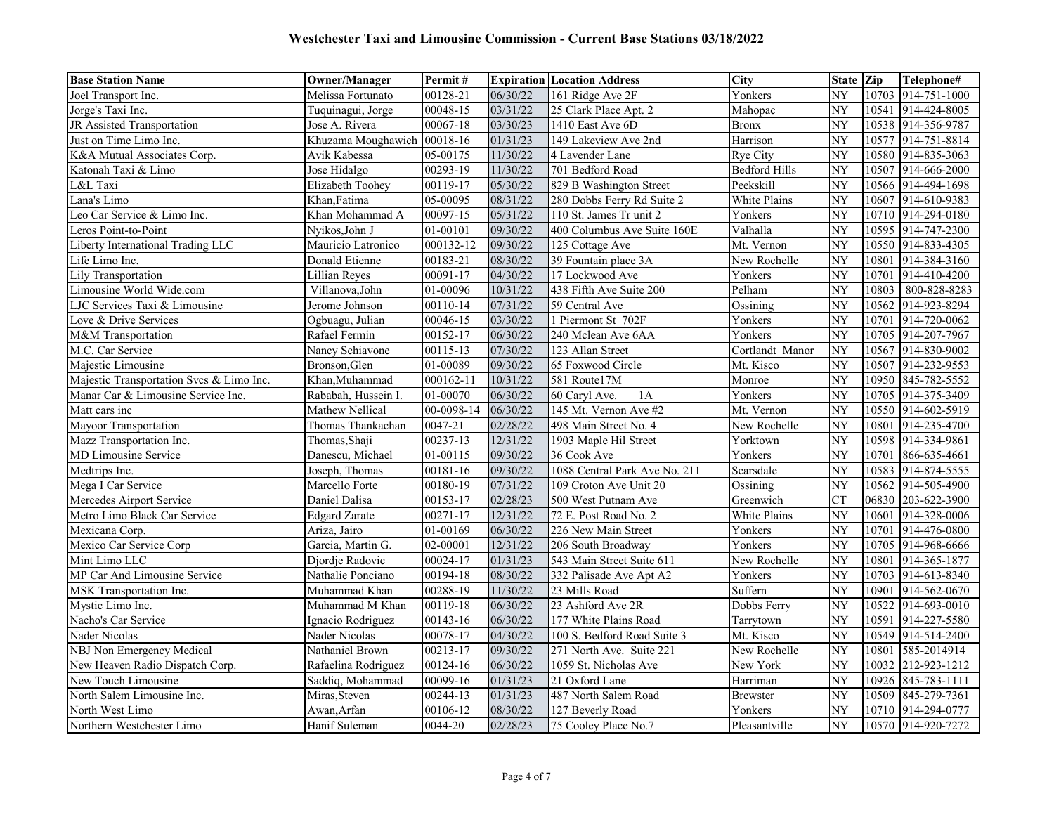| <b>Base Station Name</b>                 | <b>Owner/Manager</b>        | Permit#    |          | <b>Expiration Location Address</b> | <b>City</b>          | State Zip       |       | Telephone#         |
|------------------------------------------|-----------------------------|------------|----------|------------------------------------|----------------------|-----------------|-------|--------------------|
| Joel Transport Inc.                      | Melissa Fortunato           | 00128-21   | 06/30/22 | 161 Ridge Ave 2F                   | Yonkers              | NY              |       | 10703 914-751-1000 |
| Jorge's Taxi Inc.                        | Tuquinagui, Jorge           | 00048-15   | 03/31/22 | 25 Clark Place Apt. 2              | Mahopac              | NY              | 10541 | 914-424-8005       |
| JR Assisted Transportation               | Jose A. Rivera              | 00067-18   | 03/30/23 | 1410 East Ave 6D                   | <b>Bronx</b>         | NY              |       | 10538 914-356-9787 |
| Just on Time Limo Inc.                   | Khuzama Moughawich 00018-16 |            | 01/31/23 | 149 Lakeview Ave 2nd               | Harrison             | NY              |       | 10577 914-751-8814 |
| K&A Mutual Associates Corp.              | Avik Kabessa                | 05-00175   | 11/30/22 | 4 Lavender Lane                    | Rye City             | NY              |       | 10580 914-835-3063 |
| Katonah Taxi & Limo                      | Jose Hidalgo                | 00293-19   | 11/30/22 | 701 Bedford Road                   | <b>Bedford Hills</b> | NY              |       | 10507 914-666-2000 |
| L&L Taxi                                 | Elizabeth Toohey            | 00119-17   | 05/30/22 | 829 B Washington Street            | Peekskill            | NY              |       | 10566 914-494-1698 |
| Lana's Limo                              | Khan, Fatima                | 05-00095   | 08/31/22 | 280 Dobbs Ferry Rd Suite 2         | White Plains         | NY              |       | 10607 914-610-9383 |
| Leo Car Service & Limo Inc.              | Khan Mohammad A             | 00097-15   | 05/31/22 | 110 St. James Tr unit 2            | Yonkers              | NY              |       | 10710 914-294-0180 |
| Leros Point-to-Point                     | Nyikos, John J              | 01-00101   | 09/30/22 | 400 Columbus Ave Suite 160E        | Valhalla             | NY              |       | 10595 914-747-2300 |
| Liberty International Trading LLC        | Mauricio Latronico          | 000132-12  | 09/30/22 | 125 Cottage Ave                    | Mt. Vernon           | NY              |       | 10550 914-833-4305 |
| Life Limo Inc.                           | Donald Etienne              | 00183-21   | 08/30/22 | 39 Fountain place 3A               | New Rochelle         | NY              | 10801 | 914-384-3160       |
| Lily Transportation                      | <b>Lillian Reyes</b>        | 00091-17   | 04/30/22 | 17 Lockwood Ave                    | Yonkers              | NY              | 10701 | 914-410-4200       |
| Limousine World Wide.com                 | Villanova, John             | 01-00096   | 10/31/22 | 438 Fifth Ave Suite 200            | Pelham               | NY              | 10803 | 800-828-8283       |
| LJC Services Taxi & Limousine            | Jerome Johnson              | 00110-14   | 07/31/22 | 59 Central Ave                     | Ossining             | NY              | 10562 | 914-923-8294       |
| Love & Drive Services                    | Ogbuagu, Julian             | 00046-15   | 03/30/22 | 1 Piermont St 702F                 | Yonkers              | NY              | 10701 | 914-720-0062       |
| M&M Transportation                       | Rafael Fermin               | 00152-17   | 06/30/22 | 240 Mclean Ave 6AA                 | Yonkers              | NY              |       | 10705 914-207-7967 |
| M.C. Car Service                         | Nancy Schiavone             | 00115-13   | 07/30/22 | 123 Allan Street                   | Cortlandt Manor      | NY              | 10567 | 914-830-9002       |
| Majestic Limousine                       | Bronson, Glen               | 01-00089   | 09/30/22 | 65 Foxwood Circle                  | Mt. Kisco            | NY              |       | 10507 914-232-9553 |
| Majestic Transportation Svcs & Limo Inc. | Khan, Muhammad              | 000162-11  | 10/31/22 | 581 Route17M                       | Monroe               | NY              |       | 10950 845-782-5552 |
| Manar Car & Limousine Service Inc.       | Rababah, Hussein I.         | 01-00070   | 06/30/22 | 1A<br>60 Caryl Ave.                | Yonkers              | NY              |       | 10705 914-375-3409 |
| Matt cars inc                            | Mathew Nellical             | 00-0098-14 | 06/30/22 | 145 Mt. Vernon Ave #2              | Mt. Vernon           | NY              |       | 10550 914-602-5919 |
| Mayoor Transportation                    | Thomas Thankachan           | 0047-21    | 02/28/22 | 498 Main Street No. 4              | New Rochelle         | NY              |       | 10801 914-235-4700 |
| Mazz Transportation Inc.                 | Thomas, Shaji               | 00237-13   | 12/31/22 | 1903 Maple Hil Street              | Yorktown             | NY              |       | 10598 914-334-9861 |
| <b>MD Limousine Service</b>              | Danescu, Michael            | 01-00115   | 09/30/22 | 36 Cook Ave                        | Yonkers              | NY              | 10701 | 866-635-4661       |
| Medtrips Inc.                            | Joseph, Thomas              | 00181-16   | 09/30/22 | 1088 Central Park Ave No. 211      | Scarsdale            | NY              | 10583 | 914-874-5555       |
| Mega I Car Service                       | Marcello Forte              | 00180-19   | 07/31/22 | 109 Croton Ave Unit 20             | Ossining             | NY              |       | 10562 914-505-4900 |
| Mercedes Airport Service                 | Daniel Dalisa               | 00153-17   | 02/28/23 | 500 West Putnam Ave                | Greenwich            | <b>CT</b>       |       | 06830 203-622-3900 |
| Metro Limo Black Car Service             | <b>Edgard Zarate</b>        | 00271-17   | 12/31/22 | 72 E. Post Road No. 2              | White Plains         | NY              | 10601 | 914-328-0006       |
| Mexicana Corp.                           | Ariza, Jairo                | 01-00169   | 06/30/22 | 226 New Main Street                | Yonkers              | NY              | 10701 | 914-476-0800       |
| Mexico Car Service Corp                  | Garcia, Martin G.           | 02-00001   | 12/31/22 | 206 South Broadway                 | Yonkers              | NY              | 10705 | 914-968-6666       |
| Mint Limo LLC                            | Djordje Radovic             | 00024-17   | 01/31/23 | 543 Main Street Suite 611          | New Rochelle         | NY              | 10801 | 914-365-1877       |
| MP Car And Limousine Service             | Nathalie Ponciano           | 00194-18   | 08/30/22 | 332 Palisade Ave Apt A2            | Yonkers              | NY              | 10703 | 914-613-8340       |
| MSK Transportation Inc.                  | Muhammad Khan               | 00288-19   | 11/30/22 | 23 Mills Road                      | Suffern              | NY              | 10901 | 914-562-0670       |
| Mystic Limo Inc.                         | Muhammad M Khan             | 00119-18   | 06/30/22 | 23 Ashford Ave 2R                  | Dobbs Ferry          | NY              | 10522 | 914-693-0010       |
| Nacho's Car Service                      | Ignacio Rodriguez           | 00143-16   | 06/30/22 | 177 White Plains Road              | Tarrytown            | NY              | 10591 | 914-227-5580       |
| Nader Nicolas                            | Nader Nicolas               | 00078-17   | 04/30/22 | 100 S. Bedford Road Suite 3        | Mt. Kisco            | $\overline{NY}$ |       | 10549 914-514-2400 |
| NBJ Non Emergency Medical                | Nathaniel Brown             | 00213-17   | 09/30/22 | 271 North Ave. Suite 221           | New Rochelle         | NY              | 10801 | 585-2014914        |
| New Heaven Radio Dispatch Corp.          | Rafaelina Rodriguez         | 00124-16   | 06/30/22 | 1059 St. Nicholas Ave              | New York             | NY              | 10032 | 212-923-1212       |
| New Touch Limousine                      | Saddiq, Mohammad            | 00099-16   | 01/31/23 | 21 Oxford Lane                     | Harriman             | NY              |       | 10926 845-783-1111 |
| North Salem Limousine Inc.               | Miras, Steven               | 00244-13   | 01/31/23 | 487 North Salem Road               | <b>Brewster</b>      | NY              | 10509 | 845-279-7361       |
| North West Limo                          | Awan,Arfan                  | 00106-12   | 08/30/22 | 127 Beverly Road                   | Yonkers              | NY              |       | 10710 914-294-0777 |
| Northern Westchester Limo                | Hanif Suleman               | 0044-20    | 02/28/23 | 75 Cooley Place No.7               | Pleasantville        | NY              |       | 10570 914-920-7272 |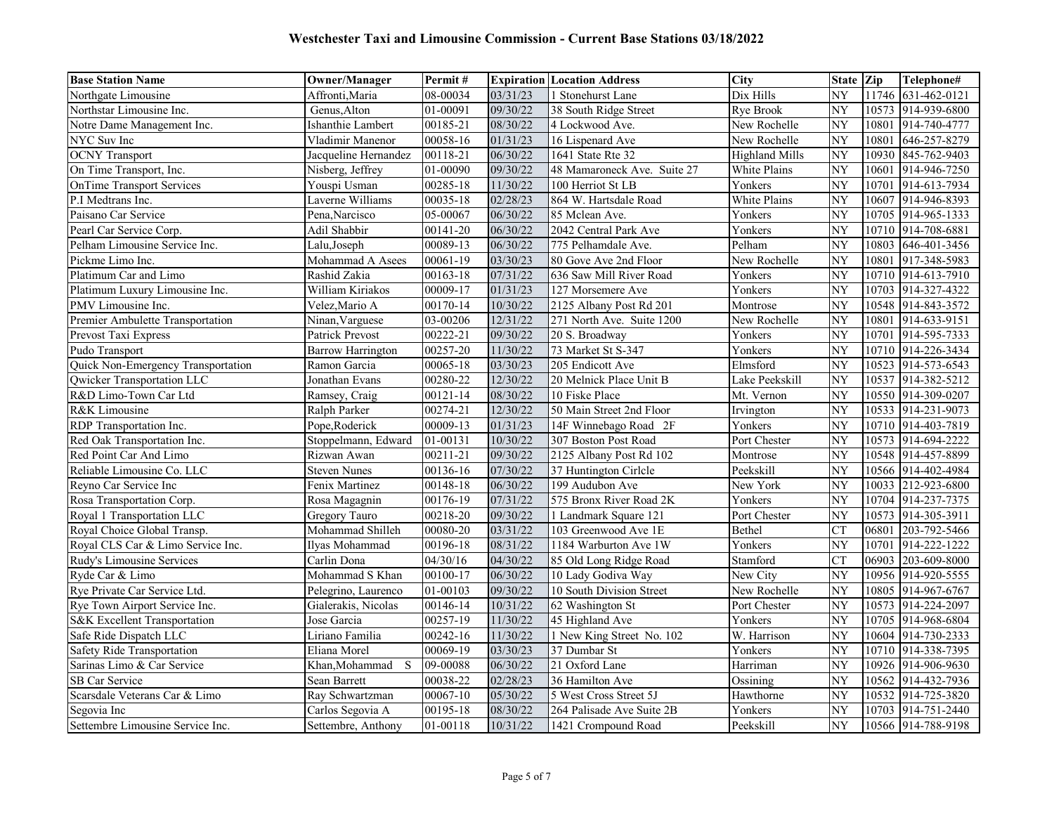| <b>Base Station Name</b>           | <b>Owner/Manager</b>     | Permit#  |          | <b>Expiration Location Address</b> | <b>City</b>           | State Zip       |       | Telephone#         |
|------------------------------------|--------------------------|----------|----------|------------------------------------|-----------------------|-----------------|-------|--------------------|
| Northgate Limousine                | Affronti, Maria          | 08-00034 | 03/31/23 | 1 Stonehurst Lane                  | Dix Hills             | NY              |       | 11746 631-462-0121 |
| Northstar Limousine Inc.           | Genus, Alton             | 01-00091 | 09/30/22 | 38 South Ridge Street              | Rye Brook             | NY              | 10573 | 914-939-6800       |
| Notre Dame Management Inc.         | Ishanthie Lambert        | 00185-21 | 08/30/22 | 4 Lockwood Ave.                    | New Rochelle          | NY              | 10801 | 914-740-4777       |
| NYC Suv Inc                        | Vladimir Manenor         | 00058-16 | 01/31/23 | 16 Lispenard Ave                   | New Rochelle          | NY              | 10801 | 646-257-8279       |
| <b>OCNY</b> Transport              | Jacqueline Hernandez     | 00118-21 | 06/30/22 | 1641 State Rte 32                  | <b>Highland Mills</b> | $\overline{NY}$ | 10930 | 845-762-9403       |
| On Time Transport, Inc.            | Nisberg, Jeffrey         | 01-00090 | 09/30/22 | 48 Mamaroneck Ave. Suite 27        | White Plains          | NY              | 10601 | 914-946-7250       |
| OnTime Transport Services          | Youspi Usman             | 00285-18 | 11/30/22 | 100 Herriot St LB                  | Yonkers               | NY              | 10701 | 914-613-7934       |
| P.I Medtrans Inc.                  | Laverne Williams         | 00035-18 | 02/28/23 | 864 W. Hartsdale Road              | White Plains          | $\overline{NY}$ | 10607 | 914-946-8393       |
| Paisano Car Service                | Pena, Narcisco           | 05-00067 | 06/30/22 | 85 Mclean Ave.                     | Yonkers               | NY              |       | 10705 914-965-1333 |
| Pearl Car Service Corp.            | Adil Shabbir             | 00141-20 | 06/30/22 | 2042 Central Park Ave              | Yonkers               | NY              |       | 10710 914-708-6881 |
| Pelham Limousine Service Inc.      | Lalu, Joseph             | 00089-13 | 06/30/22 | 775 Pelhamdale Ave.                | Pelham                | NY              | 10803 | 646-401-3456       |
| Pickme Limo Inc.                   | Mohammad A Asees         | 00061-19 | 03/30/23 | 80 Gove Ave 2nd Floor              | New Rochelle          | NY              | 10801 | 917-348-5983       |
| Platimum Car and Limo              | Rashid Zakia             | 00163-18 | 07/31/22 | 636 Saw Mill River Road            | Yonkers               | NY              |       | 10710 914-613-7910 |
| Platimum Luxury Limousine Inc.     | William Kiriakos         | 00009-17 | 01/31/23 | 127 Morsemere Ave                  | Yonkers               | NY              | 10703 | 914-327-4322       |
| PMV Limousine Inc.                 | Velez, Mario A           | 00170-14 | 10/30/22 | 2125 Albany Post Rd 201            | Montrose              | NY              | 10548 | 914-843-3572       |
| Premier Ambulette Transportation   | Ninan, Varguese          | 03-00206 | 12/31/22 | 271 North Ave. Suite 1200          | New Rochelle          | NY              | 10801 | 914-633-9151       |
| Prevost Taxi Express               | <b>Patrick Prevost</b>   | 00222-21 | 09/30/22 | 20 S. Broadway                     | Yonkers               | NY              |       | 10701 914-595-7333 |
| Pudo Transport                     | <b>Barrow Harrington</b> | 00257-20 | 11/30/22 | 73 Market St S-347                 | Yonkers               | NY              | 10710 | 914-226-3434       |
| Quick Non-Emergency Transportation | Ramon Garcia             | 00065-18 | 03/30/23 | 205 Endicott Ave                   | Elmsford              | NY              |       | 10523 914-573-6543 |
| Qwicker Transportation LLC         | Jonathan Evans           | 00280-22 | 12/30/22 | 20 Melnick Place Unit B            | Lake Peekskill        | NY              | 10537 | 914-382-5212       |
| R&D Limo-Town Car Ltd              | Ramsey, Craig            | 00121-14 | 08/30/22 | 10 Fiske Place                     | Mt. Vernon            | NY              |       | 10550 914-309-0207 |
| R&K Limousine                      | Ralph Parker             | 00274-21 | 12/30/22 | 50 Main Street 2nd Floor           | Irvington             | NY              |       | 10533 914-231-9073 |
| RDP Transportation Inc.            | Pope, Roderick           | 00009-13 | 01/31/23 | 14F Winnebago Road 2F              | Yonkers               | NY              |       | 10710 914-403-7819 |
| Red Oak Transportation Inc.        | Stoppelmann, Edward      | 01-00131 | 10/30/22 | 307 Boston Post Road               | Port Chester          | NY              | 10573 | 914-694-2222       |
| Red Point Car And Limo             | Rizwan Awan              | 00211-21 | 09/30/22 | 2125 Albany Post Rd 102            | Montrose              | NY              |       | 10548 914-457-8899 |
| Reliable Limousine Co. LLC         | <b>Steven Nunes</b>      | 00136-16 | 07/30/22 | 37 Huntington Cirlcle              | Peekskill             | NY              |       | 10566 914-402-4984 |
| Reyno Car Service Inc              | Fenix Martinez           | 00148-18 | 06/30/22 | 199 Audubon Ave                    | New York              | NY              |       | 10033 212-923-6800 |
| Rosa Transportation Corp.          | Rosa Magagnin            | 00176-19 | 07/31/22 | 575 Bronx River Road 2K            | Yonkers               | NY              | 10704 | 914-237-7375       |
| Royal 1 Transportation LLC         | Gregory Tauro            | 00218-20 | 09/30/22 | 1 Landmark Square 121              | Port Chester          | NY              |       | 10573 914-305-3911 |
| Royal Choice Global Transp.        | Mohammad Shilleh         | 00080-20 | 03/31/22 | 103 Greenwood Ave 1E               | Bethel                | <b>CT</b>       | 06801 | 203-792-5466       |
| Royal CLS Car & Limo Service Inc.  | Ilyas Mohammad           | 00196-18 | 08/31/22 | 1184 Warburton Ave 1W              | Yonkers               | NY              | 10701 | 914-222-1222       |
| Rudy's Limousine Services          | Carlin Dona              | 04/30/16 | 04/30/22 | 85 Old Long Ridge Road             | Stamford              | CT              | 06903 | 203-609-8000       |
| Ryde Car & Limo                    | Mohammad S Khan          | 00100-17 | 06/30/22 | 10 Lady Godiva Way                 | New City              | NY              | 10956 | 914-920-5555       |
| Rye Private Car Service Ltd.       | Pelegrino, Laurenco      | 01-00103 | 09/30/22 | 10 South Division Street           | New Rochelle          | NY              | 10805 | 914-967-6767       |
| Rye Town Airport Service Inc.      | Gialerakis, Nicolas      | 00146-14 | 10/31/22 | 62 Washington St                   | Port Chester          | NY              |       | 10573 914-224-2097 |
| S&K Excellent Transportation       | Jose Garcia              | 00257-19 | 11/30/22 | 45 Highland Ave                    | Yonkers               | NY              |       | 10705 914-968-6804 |
| Safe Ride Dispatch LLC             | Liriano Familia          | 00242-16 | 11/30/22 | 1 New King Street No. 102          | W. Harrison           | $\overline{NY}$ |       | 10604 914-730-2333 |
| Safety Ride Transportation         | Eliana Morel             | 00069-19 | 03/30/23 | 37 Dumbar St                       | Yonkers               | NY              | 10710 | 914-338-7395       |
| Sarinas Limo & Car Service         | Khan,Mohammad S          | 09-00088 | 06/30/22 | 21 Oxford Lane                     | Harriman              | NY              |       | 10926 914-906-9630 |
| SB Car Service                     | Sean Barrett             | 00038-22 | 02/28/23 | 36 Hamilton Ave                    | Ossining              | NY              |       | 10562 914-432-7936 |
| Scarsdale Veterans Car & Limo      | Ray Schwartzman          | 00067-10 | 05/30/22 | 5 West Cross Street 5J             | Hawthorne             | NY              | 10532 | 914-725-3820       |
| Segovia Inc                        | Carlos Segovia A         | 00195-18 | 08/30/22 | 264 Palisade Ave Suite 2B          | Yonkers               | NY              | 10703 | 914-751-2440       |
| Settembre Limousine Service Inc.   | Settembre, Anthony       | 01-00118 | 10/31/22 | 1421 Crompound Road                | Peekskill             | $\overline{NY}$ |       | 10566 914-788-9198 |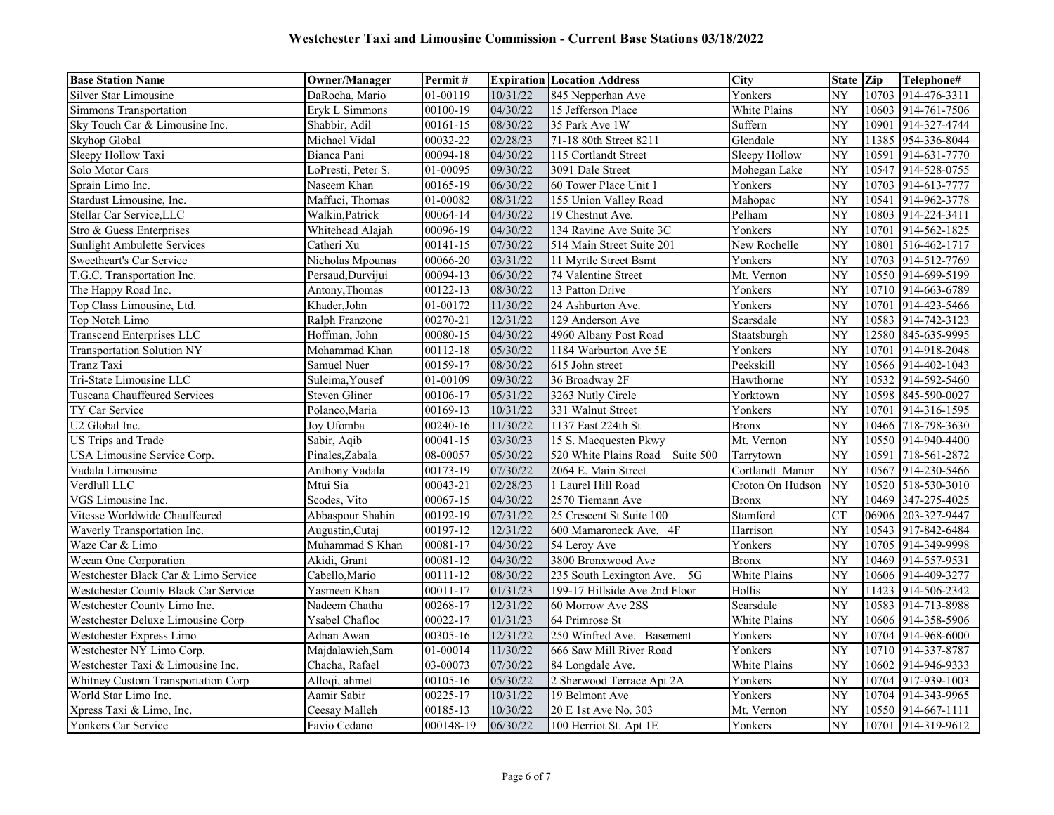| <b>Base Station Name</b>             | <b>Owner/Manager</b> | Permit#   |          | <b>Expiration Location Address</b> | <b>City</b>      | State Zip              |       | Telephone#         |
|--------------------------------------|----------------------|-----------|----------|------------------------------------|------------------|------------------------|-------|--------------------|
| Silver Star Limousine                | DaRocha, Mario       | 01-00119  | 10/31/22 | 845 Nepperhan Ave                  | Yonkers          | NY                     |       | 10703 914-476-3311 |
| <b>Simmons Transportation</b>        | Eryk L Simmons       | 00100-19  | 04/30/22 | 15 Jefferson Place                 | White Plains     | NY                     | 10603 | 914-761-7506       |
| Sky Touch Car & Limousine Inc.       | Shabbir, Adil        | 00161-15  | 08/30/22 | 35 Park Ave 1W                     | Suffern          | NY                     | 10901 | 914-327-4744       |
| Skyhop Global                        | Michael Vidal        | 00032-22  | 02/28/23 | 71-18 80th Street 8211             | Glendale         | NY                     |       | 11385 954-336-8044 |
| Sleepy Hollow Taxi                   | Bianca Pani          | 00094-18  | 04/30/22 | 115 Cortlandt Street               | Sleepy Hollow    | $\overline{\text{NY}}$ | 10591 | 914-631-7770       |
| Solo Motor Cars                      | LoPresti, Peter S.   | 01-00095  | 09/30/22 | 3091 Dale Street                   | Mohegan Lake     | NY                     |       | 10547 914-528-0755 |
| Sprain Limo Inc.                     | Naseem Khan          | 00165-19  | 06/30/22 | 60 Tower Place Unit 1              | Yonkers          | NY                     | 10703 | 914-613-7777       |
| Stardust Limousine, Inc.             | Maffuci, Thomas      | 01-00082  | 08/31/22 | 155 Union Valley Road              | Mahopac          | NY                     | 10541 | 914-962-3778       |
| Stellar Car Service, LLC             | Walkin, Patrick      | 00064-14  | 04/30/22 | 19 Chestnut Ave.                   | Pelham           | NY                     |       | 10803 914-224-3411 |
| Stro & Guess Enterprises             | Whitehead Alajah     | 00096-19  | 04/30/22 | 134 Ravine Ave Suite 3C            | Yonkers          | NY                     |       | 10701 914-562-1825 |
| Sunlight Ambulette Services          | Catheri Xu           | 00141-15  | 07/30/22 | 514 Main Street Suite 201          | New Rochelle     | NY                     | 10801 | 516-462-1717       |
| Sweetheart's Car Service             | Nicholas Mpounas     | 00066-20  | 03/31/22 | 11 Myrtle Street Bsmt              | Yonkers          | NY                     |       | 10703 914-512-7769 |
| T.G.C. Transportation Inc.           | Persaud, Durvijui    | 00094-13  | 06/30/22 | 74 Valentine Street                | Mt. Vernon       | NY                     |       | 10550 914-699-5199 |
| The Happy Road Inc.                  | Antony, Thomas       | 00122-13  | 08/30/22 | 13 Patton Drive                    | Yonkers          | NY                     |       | 10710 914-663-6789 |
| Top Class Limousine, Ltd.            | Khader, John         | 01-00172  | 11/30/22 | 24 Ashburton Ave.                  | Yonkers          | NY                     | 10701 | 914-423-5466       |
| Top Notch Limo                       | Ralph Franzone       | 00270-21  | 12/31/22 | 129 Anderson Ave                   | Scarsdale        | NY                     |       | 10583 914-742-3123 |
| <b>Transcend Enterprises LLC</b>     | Hoffman, John        | 00080-15  | 04/30/22 | 4960 Albany Post Road              | Staatsburgh      | NY                     |       | 12580 845-635-9995 |
| <b>Transportation Solution NY</b>    | Mohammad Khan        | 00112-18  | 05/30/22 | 1184 Warburton Ave 5E              | Yonkers          | NY                     | 10701 | 914-918-2048       |
| Tranz Taxi                           | Samuel Nuer          | 00159-17  | 08/30/22 | 615 John street                    | Peekskill        | NY                     |       | 10566 914-402-1043 |
| Tri-State Limousine LLC              | Suleima, Yousef      | 01-00109  | 09/30/22 | 36 Broadway 2F                     | Hawthorne        | NY                     |       | 10532 914-592-5460 |
| Tuscana Chauffeured Services         | <b>Steven Gliner</b> | 00106-17  | 05/31/22 | 3263 Nutly Circle                  | Yorktown         | NY                     |       | 10598 845-590-0027 |
| TY Car Service                       | Polanco, Maria       | 00169-13  | 10/31/22 | 331 Walnut Street                  | Yonkers          | NY                     | 10701 | 914-316-1595       |
| U2 Global Inc.                       | Joy Ufomba           | 00240-16  | 11/30/22 | 1137 East 224th St                 | <b>Bronx</b>     | NY                     |       | 10466 718-798-3630 |
| US Trips and Trade                   | Sabir, Aqib          | 00041-15  | 03/30/23 | 15 S. Macquesten Pkwy              | Mt. Vernon       | NY                     |       | 10550 914-940-4400 |
| USA Limousine Service Corp.          | Pinales,Zabala       | 08-00057  | 05/30/22 | 520 White Plains Road<br>Suite 500 | Tarrytown        | NY                     | 10591 | 718-561-2872       |
| Vadala Limousine                     | Anthony Vadala       | 00173-19  | 07/30/22 | 2064 E. Main Street                | Cortlandt Manor  | NY                     | 10567 | 914-230-5466       |
| Verdlull LLC                         | Mtui Sia             | 00043-21  | 02/28/23 | 1 Laurel Hill Road                 | Croton On Hudson | NY                     |       | 10520 518-530-3010 |
| VGS Limousine Inc.                   | Scodes, Vito         | 00067-15  | 04/30/22 | 2570 Tiemann Ave                   | <b>Bronx</b>     | NY                     | 10469 | 347-275-4025       |
| Vitesse Worldwide Chauffeured        | Abbaspour Shahin     | 00192-19  | 07/31/22 | 25 Crescent St Suite 100           | Stamford         | CT                     | 06906 | 203-327-9447       |
| Waverly Transportation Inc.          | Augustin, Cutai      | 00197-12  | 12/31/22 | 600 Mamaroneck Ave. 4F             | Harrison         | NY                     | 10543 | 917-842-6484       |
| Waze Car & Limo                      | Muhammad S Khan      | 00081-17  | 04/30/22 | 54 Leroy Ave                       | Yonkers          | NY                     | 10705 | 914-349-9998       |
| Wecan One Corporation                | Akidi, Grant         | 00081-12  | 04/30/22 | 3800 Bronxwood Ave                 | <b>Bronx</b>     | NY                     |       | 10469 914-557-9531 |
| Westchester Black Car & Limo Service | Cabello, Mario       | 00111-12  | 08/30/22 | 235 South Lexington Ave.<br>5G     | White Plains     | NY                     |       | 10606 914-409-3277 |
| Westchester County Black Car Service | Yasmeen Khan         | 00011-17  | 01/31/23 | 199-17 Hillside Ave 2nd Floor      | Hollis           | NY                     |       | 11423 914-506-2342 |
| Westchester County Limo Inc.         | Nadeem Chatha        | 00268-17  | 12/31/22 | 60 Morrow Ave 2SS                  | Scarsdale        | NY                     |       | 10583 914-713-8988 |
| Westchester Deluxe Limousine Corp    | Ysabel Chafloc       | 00022-17  | 01/31/23 | 64 Primrose St                     | White Plains     | NY                     |       | 10606 914-358-5906 |
| Westchester Express Limo             | Adnan Awan           | 00305-16  | 12/31/22 | 250 Winfred Ave. Basement          | Yonkers          | $\overline{NY}$        |       | 10704 914-968-6000 |
| Westchester NY Limo Corp.            | Majdalawieh, Sam     | 01-00014  | 11/30/22 | 666 Saw Mill River Road            | Yonkers          | NY                     |       | 10710 914-337-8787 |
| Westchester Taxi & Limousine Inc.    | Chacha, Rafael       | 03-00073  | 07/30/22 | 84 Longdale Ave.                   | White Plains     | NY                     |       | 10602 914-946-9333 |
| Whitney Custom Transportation Corp   | Alloqi, ahmet        | 00105-16  | 05/30/22 | 2 Sherwood Terrace Apt 2A          | Yonkers          | NY                     |       | 10704 917-939-1003 |
| World Star Limo Inc.                 | Aamir Sabir          | 00225-17  | 10/31/22 | 19 Belmont Ave                     | Yonkers          | NY                     | 10704 | 914-343-9965       |
| Xpress Taxi & Limo, Inc.             | Ceesay Malleh        | 00185-13  | 10/30/22 | 20 E 1st Ave No. 303               | Mt. Vernon       | NY                     |       | 10550 914-667-1111 |
| Yonkers Car Service                  | Favio Cedano         | 000148-19 | 06/30/22 | 100 Herriot St. Apt 1E             | Yonkers          | NY                     |       | 10701 914-319-9612 |